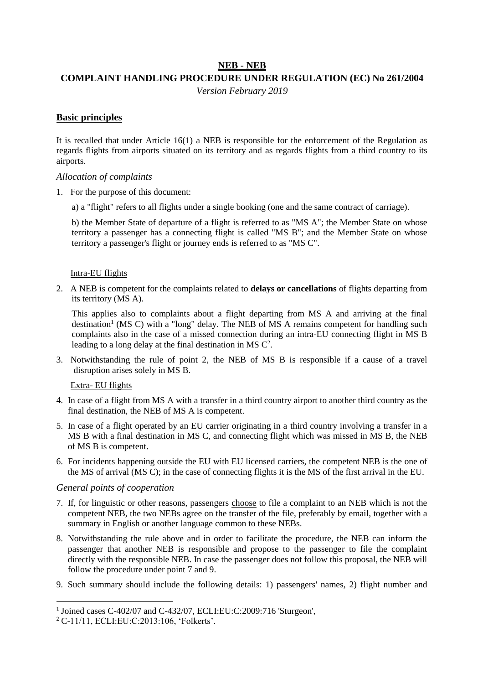### **NEB - NEB**

## **COMPLAINT HANDLING PROCEDURE UNDER REGULATION (EC) No 261/2004**

*Version February 2019*

### **Basic principles**

It is recalled that under Article 16(1) a NEB is responsible for the enforcement of the Regulation as regards flights from airports situated on its territory and as regards flights from a third country to its airports.

### *Allocation of complaints*

- 1. For the purpose of this document:
	- a) a "flight" refers to all flights under a single booking (one and the same contract of carriage).

b) the Member State of departure of a flight is referred to as "MS A"; the Member State on whose territory a passenger has a connecting flight is called "MS B"; and the Member State on whose territory a passenger's flight or journey ends is referred to as "MS C".

#### Intra-EU flights

2. A NEB is competent for the complaints related to **delays or cancellations** of flights departing from its territory (MS A).

This applies also to complaints about a flight departing from MS A and arriving at the final destination<sup>1</sup> (MS C) with a "long" delay. The NEB of MS A remains competent for handling such complaints also in the case of a missed connection during an intra-EU connecting flight in MS B leading to a long delay at the final destination in MS  $C^2$ .

3. Notwithstanding the rule of point 2, the NEB of MS B is responsible if a cause of a travel disruption arises solely in MS B.

### Extra- EU flights

- 4. In case of a flight from MS A with a transfer in a third country airport to another third country as the final destination, the NEB of MS A is competent.
- 5. In case of a flight operated by an EU carrier originating in a third country involving a transfer in a MS B with a final destination in MS C, and connecting flight which was missed in MS B, the NEB of MS B is competent.
- 6. For incidents happening outside the EU with EU licensed carriers, the competent NEB is the one of the MS of arrival (MS C); in the case of connecting flights it is the MS of the first arrival in the EU.

### *General points of cooperation*

 $\overline{a}$ 

- 7. If, for linguistic or other reasons, passengers choose to file a complaint to an NEB which is not the competent NEB, the two NEBs agree on the transfer of the file, preferably by email, together with a summary in English or another language common to these NEBs.
- 8. Notwithstanding the rule above and in order to facilitate the procedure, the NEB can inform the passenger that another NEB is responsible and propose to the passenger to file the complaint directly with the responsible NEB. In case the passenger does not follow this proposal, the NEB will follow the procedure under point 7 and 9.
- 9. Such summary should include the following details: 1) passengers' names, 2) flight number and

<sup>&</sup>lt;sup>1</sup> Joined cases C-402/07 and C-432/07, ECLI:EU:C:2009:716 'Sturgeon',

<sup>2</sup> C-11/11, ECLI:EU:C:2013:106, 'Folkerts'.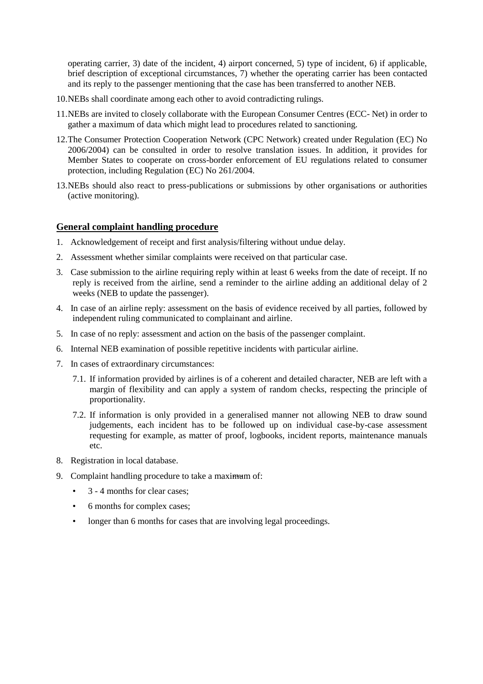operating carrier, 3) date of the incident, 4) airport concerned, 5) type of incident, 6) if applicable, brief description of exceptional circumstances, 7) whether the operating carrier has been contacted and its reply to the passenger mentioning that the case has been transferred to another NEB.

- 10.NEBs shall coordinate among each other to avoid contradicting rulings.
- 11.NEBs are invited to closely collaborate with the European Consumer Centres (ECC- Net) in order to gather a maximum of data which might lead to procedures related to sanctioning.
- 12.The Consumer Protection Cooperation Network (CPC Network) created under Regulation (EC) No 2006/2004) can be consulted in order to resolve translation issues. In addition, it provides for Member States to cooperate on cross-border enforcement of EU regulations related to consumer protection, including Regulation (EC) No 261/2004.
- 13.NEBs should also react to press-publications or submissions by other organisations or authorities (active monitoring).

#### **General complaint handling procedure**

- 1. Acknowledgement of receipt and first analysis/filtering without undue delay.
- 2. Assessment whether similar complaints were received on that particular case.
- 3. Case submission to the airline requiring reply within at least 6 weeks from the date of receipt. If no reply is received from the airline, send a reminder to the airline adding an additional delay of 2 weeks (NEB to update the passenger).
- 4. In case of an airline reply: assessment on the basis of evidence received by all parties, followed by independent ruling communicated to complainant and airline.
- 5. In case of no reply: assessment and action on the basis of the passenger complaint.
- 6. Internal NEB examination of possible repetitive incidents with particular airline.
- 7. In cases of extraordinary circumstances:
	- 7.1. If information provided by airlines is of a coherent and detailed character, NEB are left with a margin of flexibility and can apply a system of random checks, respecting the principle of proportionality.
	- 7.2. If information is only provided in a generalised manner not allowing NEB to draw sound judgements, each incident has to be followed up on individual case-by-case assessment requesting for example, as matter of proof, logbooks, incident reports, maintenance manuals etc.
- 8. Registration in local database.
- 9. Complaint handling procedure to take a maximum of:
	- 3 4 months for clear cases;
	- 6 months for complex cases;
	- longer than 6 months for cases that are involving legal proceedings.